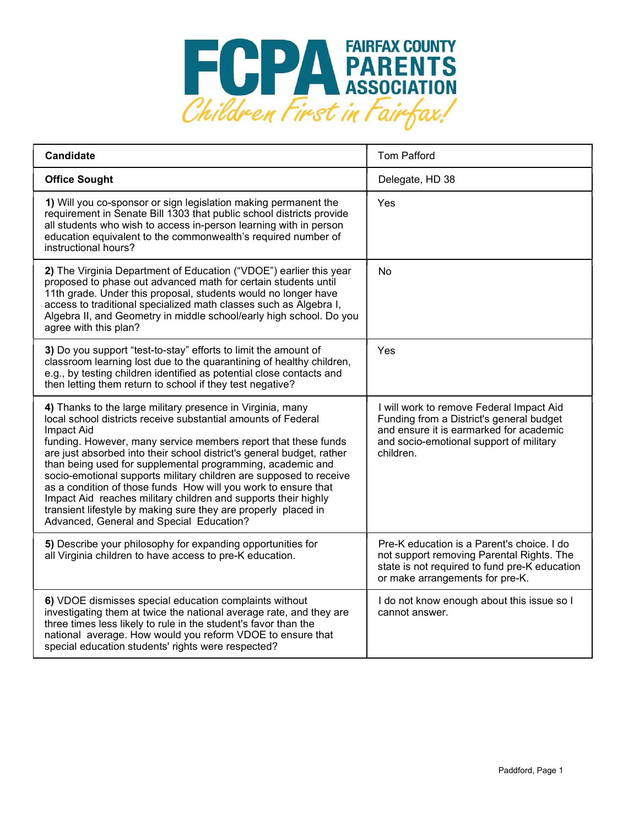

| <b>Candidate</b>                                                                                                                                                                                                                                                                                                                                                                                                                                                                                                                                                                                                                                                           | <b>Tom Pafford</b>                                                                                                                                                                      |
|----------------------------------------------------------------------------------------------------------------------------------------------------------------------------------------------------------------------------------------------------------------------------------------------------------------------------------------------------------------------------------------------------------------------------------------------------------------------------------------------------------------------------------------------------------------------------------------------------------------------------------------------------------------------------|-----------------------------------------------------------------------------------------------------------------------------------------------------------------------------------------|
| <b>Office Sought</b>                                                                                                                                                                                                                                                                                                                                                                                                                                                                                                                                                                                                                                                       | Delegate, HD 38                                                                                                                                                                         |
| 1) Will you co-sponsor or sign legislation making permanent the<br>requirement in Senate Bill 1303 that public school districts provide<br>all students who wish to access in-person learning with in person<br>education equivalent to the commonwealth's required number of<br>instructional hours?                                                                                                                                                                                                                                                                                                                                                                      | Yes                                                                                                                                                                                     |
| 2) The Virginia Department of Education ("VDOE") earlier this year<br>proposed to phase out advanced math for certain students until<br>11th grade. Under this proposal, students would no longer have<br>access to traditional specialized math classes such as Algebra I,<br>Algebra II, and Geometry in middle school/early high school. Do you<br>agree with this plan?                                                                                                                                                                                                                                                                                                | No                                                                                                                                                                                      |
| 3) Do you support "test-to-stay" efforts to limit the amount of<br>classroom learning lost due to the quarantining of healthy children,<br>e.g., by testing children identified as potential close contacts and<br>then letting them return to school if they test negative?                                                                                                                                                                                                                                                                                                                                                                                               | Yes                                                                                                                                                                                     |
| 4) Thanks to the large military presence in Virginia, many<br>local school districts receive substantial amounts of Federal<br>Impact Aid<br>funding. However, many service members report that these funds<br>are just absorbed into their school district's general budget, rather<br>than being used for supplemental programming, academic and<br>socio-emotional supports military children are supposed to receive<br>as a condition of those funds How will you work to ensure that<br>Impact Aid reaches military children and supports their highly<br>transient lifestyle by making sure they are properly placed in<br>Advanced, General and Special Education? | I will work to remove Federal Impact Aid<br>Funding from a District's general budget<br>and ensure it is earmarked for academic<br>and socio-emotional support of military<br>children. |
| 5) Describe your philosophy for expanding opportunities for<br>all Virginia children to have access to pre-K education.                                                                                                                                                                                                                                                                                                                                                                                                                                                                                                                                                    | Pre-K education is a Parent's choice. I do<br>not support removing Parental Rights. The<br>state is not required to fund pre-K education<br>or make arrangements for pre-K.             |
| 6) VDOE dismisses special education complaints without<br>investigating them at twice the national average rate, and they are<br>three times less likely to rule in the student's favor than the<br>national average. How would you reform VDOE to ensure that<br>special education students' rights were respected?                                                                                                                                                                                                                                                                                                                                                       | I do not know enough about this issue so I<br>cannot answer.                                                                                                                            |